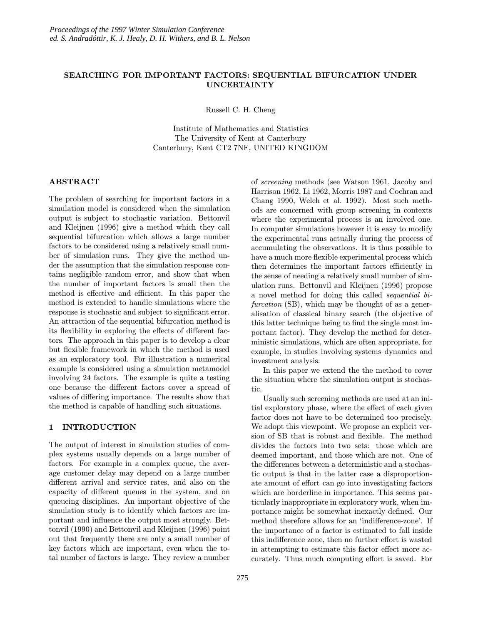# SEARCHING FOR IMPORTANT FACTORS: SEQUENTIAL BIFURCATION UNDER UNCERTAINTY

Russell C. H. Cheng

Institute of Mathematics and Statistics The University of Kent at Canterbury Canterbury, Kent CT2 7NF, UNITED KINGDOM

## ABSTRACT

The problem of searching for important factors in a simulation model is considered when the simulation output is subject to stochastic variation. Bettonvil and Kleijnen (1996) give a method which they call sequential bifurcation which allows a large number factors to be considered using a relatively small number of simulation runs. They give the method under the assumption that the simulation response contains negligible random error, and show that when the number of important factors is small then the method is effective and efficient. In this paper the method is extended to handle simulations where the response is stochastic and subject to significant error. An attraction of the sequential bifurcation method is its flexibility in exploring the effects of different factors. The approach in this paper is to develop a clear but flexible framework in which the method is used as an exploratory tool. For illustration a numerical example is considered using a simulation metamodel involving 24 factors. The example is quite a testing one because the different factors cover a spread of values of differing importance. The results show that the method is capable of handling such situations.

### 1 INTRODUCTION

The output of interest in simulation studies of complex systems usually depends on a large number of factors. For example in a complex queue, the average customer delay may depend on a large number different arrival and service rates, and also on the capacity of different queues in the system, and on queueing disciplines. An important objective of the simulation study is to identify which factors are important and influence the output most strongly. Bettonvil (1990) and Bettonvil and Kleijnen (1996) point out that frequently there are only a small number of key factors which are important, even when the total number of factors is large. They review a number

of screening methods (see Watson 1961, Jacoby and Harrison 1962, Li 1962, Morris 1987 and Cochran and Chang 1990, Welch et al. 1992). Most such methods are concerned with group screening in contexts where the experimental process is an involved one. In computer simulations however it is easy to modify the experimental runs actually during the process of accumulating the observations. It is thus possible to have a much more flexible experimental process which then determines the important factors efficiently in the sense of needing a relatively small number of simulation runs. Bettonvil and Kleijnen (1996) propose a novel method for doing this called sequential bifurcation (SB), which may be thought of as a generalisation of classical binary search (the objective of this latter technique being to find the single most important factor). They develop the method for deterministic simulations, which are often appropriate, for example, in studies involving systems dynamics and investment analysis.

In this paper we extend the the method to cover the situation where the simulation output is stochastic.

Usually such screening methods are used at an initial exploratory phase, where the effect of each given factor does not have to be determined too precisely. We adopt this viewpoint. We propose an explicit version of SB that is robust and flexible. The method divides the factors into two sets: those which are deemed important, and those which are not. One of the differences between a deterministic and a stochastic output is that in the latter case a disproportionate amount of effort can go into investigating factors which are borderline in importance. This seems particularly inappropriate in exploratory work, when importance might be somewhat inexactly defined. Our method therefore allows for an 'indifference-zone'. If the importance of a factor is estimated to fall inside this indifference zone, then no further effort is wasted in attempting to estimate this factor effect more accurately. Thus much computing effort is saved. For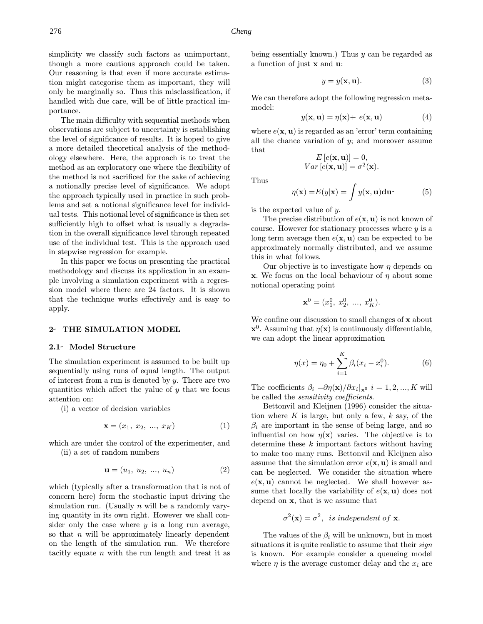simplicity we classify such factors as unimportant, though a more cautious approach could be taken. Our reasoning is that even if more accurate estimation might categorise them as important, they will only be marginally so. Thus this misclassification, if handled with due care, will be of little practical importance.

The main difficulty with sequential methods when observations are subject to uncertainty is establishing the level of significance of results. It is hoped to give a more detailed theoretical analysis of the methodology elsewhere. Here, the approach is to treat the method as an exploratory one where the flexibility of the method is not sacrificed for the sake of achieving a notionally precise level of significance. We adopt the approach typically used in practice in such problems and set a notional significance level for individual tests. This notional level of significance is then set sufficiently high to offset what is usually a degradation in the overall significance level through repeated use of the individual test. This is the approach used in stepwise regression for example.

In this paper we focus on presenting the practical methodology and discuss its application in an example involving a simulation experiment with a regression model where there are 24 factors. It is shown that the technique works effectively and is easy to apply.

### 2- THE SIMULATION MODEL

#### 2.1- Model Structure

The simulation experiment is assumed to be built up sequentially using runs of equal length. The output of interest from a run is denoted by  $y$ . There are two quantities which affect the yalue of  $y$  that we focus attention on:

(i) a vector of decision variables

$$
\mathbf{x} = (x_1, \ x_2, \ ..., \ x_K) \tag{1}
$$

which are under the control of the experimenter, and (ii) a set of random numbers

$$
\mathbf{u} = (u_1, u_2, ..., u_n) \tag{2}
$$

which (typically after a transformation that is not of concern here) form the stochastic input driving the simulation run. (Usually  $n$  will be a randomly varying quantity in its own right. However we shall consider only the case where  $y$  is a long run average, so that  $n$  will be approximately linearly dependent on the length of the simulation run. We therefore tacitly equate  $n$  with the run length and treat it as being essentially known.) Thus  $y$  can be regarded as a function of just x and u:

$$
y = y(\mathbf{x}, \mathbf{u}).\tag{3}
$$

We can therefore adopt the following regression metamodel:

$$
y(\mathbf{x}, \mathbf{u}) = \eta(\mathbf{x}) + e(\mathbf{x}, \mathbf{u}) \tag{4}
$$

where  $e(\mathbf{x}, \mathbf{u})$  is regarded as an 'error' term containing all the chance variation of  $y$ ; and moreover assume that

$$
E[e(\mathbf{x}, \mathbf{u})] = 0,
$$
  
 
$$
Var[e(\mathbf{x}, \mathbf{u})] = \sigma^2(\mathbf{x}).
$$

Thus

$$
\eta(\mathbf{x}) = E(y|\mathbf{x}) = \int y(\mathbf{x}, \mathbf{u}) \mathbf{du}.
$$
 (5)

is the expected value of y.

The precise distribution of  $e(\mathbf{x}, \mathbf{u})$  is not known of course. However for stationary processes where  $y$  is a long term average then  $e(\mathbf{x}, \mathbf{u})$  can be expected to be approximately normally distributed, and we assume this in what follows.

Our objective is to investigate how  $\eta$  depends on **x**. We focus on the local behaviour of  $\eta$  about some notional operating point

$$
\mathbf{x}^0 = (x_1^0, x_2^0, \dots, x_K^0).
$$

We confine our discussion to small changes of x about  $\mathbf{x}^0$ . Assuming that  $\eta(\mathbf{x})$  is continuously differentiable, we can adopt the linear approximation

$$
\eta(x) = \eta_0 + \sum_{i=1}^{K} \beta_i (x_i - x_i^0). \tag{6}
$$

The coefficients  $\beta_i = \partial \eta(\mathbf{x})/\partial x_i |_{\mathbf{x}^0}$   $i = 1, 2, ..., K$  will be called the sensitivity coefficients.

Bettonvil and Kleijnen (1996) consider the situation where  $K$  is large, but only a few,  $k$  say, of the  $\beta_i$  are important in the sense of being large, and so influential on how  $\eta(\mathbf{x})$  varies. The objective is to determine these k important factors without having to make too many runs. Bettonvil and Kleijnen also assume that the simulation error  $e(\mathbf{x}, \mathbf{u})$  is small and can be neglected. We consider the situation where  $e(\mathbf{x}, \mathbf{u})$  cannot be neglected. We shall however assume that locally the variability of  $e(\mathbf{x}, \mathbf{u})$  does not depend on x, that is we assume that

$$
\sigma^2(\mathbf{x}) = \sigma^2
$$
, is independent of **x**.

The values of the  $\beta_i$  will be unknown, but in most situations it is quite realistic to assume that their *sign* is known. For example consider a queueing model where  $\eta$  is the average customer delay and the  $x_i$  are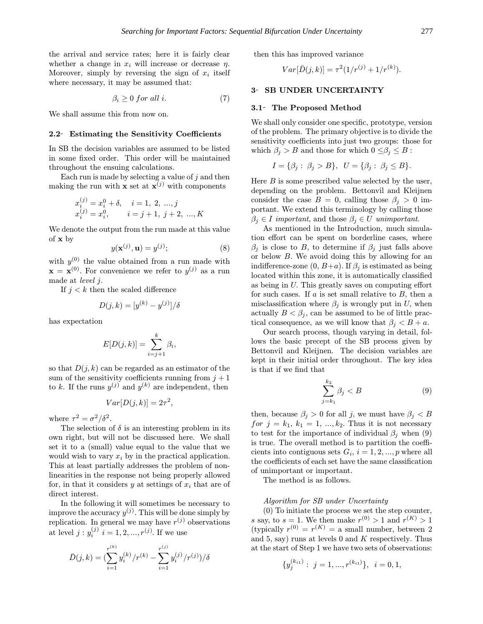the arrival and service rates; here it is fairly clear whether a change in  $x_i$  will increase or decrease  $\eta$ . Moreover, simply by reversing the sign of  $x_i$  itself where necessary, it may be assumed that:

$$
\beta_i \ge 0 \text{ for all } i. \tag{7}
$$

We shall assume this from now on.

#### 2.2 Estimating the Sensitivity Coefficients

In SB the decision variables are assumed to be listed in some fixed order. This order will be maintained throughout the ensuing calculations.

Each run is made by selecting a value of  $j$  and then making the run with **x** set at  $\mathbf{x}^{(j)}$  with components

$$
\begin{array}{ll} x_i^{(j)}=x_i^0+\delta, & i=1,\ 2,\ ... ,j\\ x_i^{(j)}=x_i^0, & i=j+1,\ j+2,\ ... ,K \end{array}
$$

We denote the output from the run made at this value of x by

$$
y(\mathbf{x}^{(j)}, \mathbf{u}) = y^{(j)};\tag{8}
$$

with  $y^{(0)}$  the value obtained from a run made with  $\mathbf{x} = \mathbf{x}^{(0)}$ . For convenience we refer to  $y^{(j)}$  as a run made at level j.

If  $j < k$  then the scaled difference

$$
D(j,k) = [y^{(k)} - y^{(j)}]/\delta
$$

has expectation

$$
E[D(j,k)] = \sum_{i=j+1}^{k} \beta_i,
$$

so that  $D(j, k)$  can be regarded as an estimator of the sum of the sensitivity coefficients running from  $j+1$ to k. If the runs  $y^{(j)}$  and  $y^{(k)}$  are independent, then

$$
Var[D(j,k)] = 2\tau^2,
$$

where  $\tau^2 = \sigma^2/\delta^2$ .

The selection of  $\delta$  is an interesting problem in its own right, but will not be discussed here. We shall set it to a (small) value equal to the value that we would wish to vary  $x_i$  by in the practical application. This at least partially addresses the problem of nonlinearities in the response not being properly allowed for, in that it considers  $y$  at settings of  $x_i$  that are of direct interest.

In the following it will sometimes be necessary to improve the accuracy  $y^{(j)}$ . This will be done simply by replication. In general we may have  $r^{(j)}$  observations at level  $j: y_i^{(j)} \, i = 1, 2, ..., r^{(j)}$ . If we use

$$
\bar{D}(j,k) = \left(\sum_{i=1}^{r^{(k)}} y_i^{(k)}/r^{(k)} - \sum_{i=1}^{r^{(j)}} y_i^{(j)}/r^{(j)}\right)/\delta
$$

then this has improved variance

$$
Var[\bar{D}(j,k)] = \tau^2(1/r^{(j)} + 1/r^{(k)}).
$$

#### 3- SB UNDER UNCERTAINTY

### 3.1- The Proposed Method

We shall only consider one specific, prototype, version of the problem. The primary objective is to divide the sensitivity coefficients into just two groups: those for which  $\beta_j > B$  and those for which  $0 \leq \beta_j \leq B$ :

$$
I = \{\beta_j : \beta_j > B\}, \quad U = \{\beta_j : \beta_j \le B\}.
$$

Here  $B$  is some prescribed value selected by the user, depending on the problem. Bettonvil and Kleijnen consider the case  $B = 0$ , calling those  $\beta_i > 0$  important. We extend this terminology by calling those  $\beta_j \in I$  important, and those  $\beta_j \in U$  unimportant.

As mentioned in the Introduction, much simulation effort can be spent on borderline cases, where  $\beta_i$  is close to B, to determine if  $\beta_i$  just falls above or below B. We avoid doing this by allowing for an indifference-zone  $(0, B+a)$ . If  $\beta_i$  is estimated as being located within this zone, it is automatically classified as being in U. This greatly saves on computing effort for such cases. If  $a$  is set small relative to  $B$ , then a misclassification where  $\beta_j$  is wrongly put in U, when actually  $B < \beta_i$ , can be assumed to be of little practical consequence, as we will know that  $\beta_j < B + a$ .

Our search process, though varying in detail, follows the basic precept of the SB process given by Bettonvil and Kleijnen. The decision variables are kept in their initial order throughout. The key idea is that if we find that

$$
\sum_{j=k_1}^{k_2} \beta_j < B \tag{9}
$$

then, because  $\beta_i > 0$  for all j, we must have  $\beta_i < B$ for  $j = k_1, k_1 = 1, ..., k_2$ . Thus it is not necessary to test for the importance of individual  $\beta_i$  when (9) is true. The overall method is to partition the coefficients into contiguous sets  $G_i$ ,  $i = 1, 2, ..., p$  where all the coefficients of each set have the same classification of unimportant or important.

The method is as follows.

#### Algorithm for SB under Uncertainty

(0) To initiate the process we set the step counter, s say, to  $s = 1$ . We then make  $r^{(0)} > 1$  and  $r^{(K)} > 1$ (typically  $r^{(0)} = r^{(K)} =$  a small number, between 2 and 5, say) runs at levels 0 and  $K$  respectively. Thus at the start of Step 1 we have two sets of observations:

$$
\{y_j^{(k_{i1})}:\ j=1,...,r^{(k_{i1})}\},\ \ i=0,1,
$$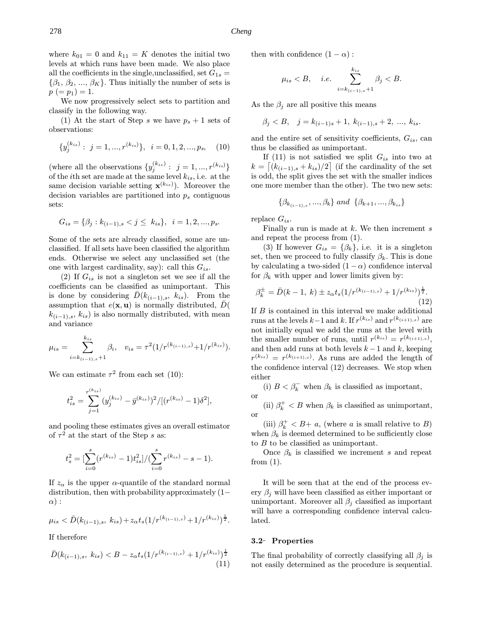where  $k_{01} = 0$  and  $k_{11} = K$  denotes the initial two levels at which runs have been made. We also place all the coefficients in the single, unclassified, set  $G_{1s} =$  $\{\beta_1, \beta_2, ..., \beta_K\}$ . Thus initially the number of sets is  $p (= p_1) = 1.$ 

We now progressively select sets to partition and classify in the following way.

(1) At the start of Step s we have  $p_s + 1$  sets of observations:

$$
\{y_j^{(k_{is})}: j = 1, ..., r^{(k_{is})}\}, i = 0, 1, 2, ..., p_s, (10)
$$

(where all the observations  $\{y_j^{(k_{is})}: j = 1, ..., r^{(k_{is})}\}\$ of the *i*th set are made at the same level  $k_{is}$ , i.e. at the same decision variable setting  $\mathbf{x}^{(k_{is})}$ ). Moreover the decision variables are partitioned into  $p_s$  contiguous sets:

$$
G_{is} = \{ \beta_j : k_{(i-1),s} < j \le k_{is} \}, \ \ i = 1, 2, \dots, p_s.
$$

Some of the sets are already classified, some are unclassified. If all sets have been classified the algorithm ends. Otherwise we select any unclassified set (the one with largest cardinality, say): call this  $G_{is}$ .

(2) If  $G_{is}$  is not a singleton set we see if all the coefficients can be classified as unimportant. This is done by considering  $D(k_{(i-1),s}, k_{is})$ . From the assumption that  $e(\mathbf{x}, \mathbf{u})$  is normally distributed,  $D($  $k_{(i-1),s}, k_{is}$  is also normally distributed, with mean and variance

$$
\mu_{is} = \sum_{i=k_{(i-1),s}+1}^{k_{is}} \beta_i, \quad v_{is} = \tau^2(1/r^{(k_{(i-1),s})}+1/r^{(k_{is})}).
$$

We can estimate  $\tau^2$  from each set (10):

$$
t_{is}^2 = \sum_{j=1}^{r^{(k_{is})}} (y_j^{(k_{is})} - \bar{y}^{(k_{is})})^2 / [(r^{(k_{is})} - 1)\delta^2],
$$

and pooling these estimates gives an overall estimator of  $\tau^2$  at the start of the Step s as:

$$
t_s^2 = \left[\sum_{i=0}^s (r^{(k_{is})} - 1)t_{is}^2\right] / (\sum_{i=0}^s r^{(k_{is})} - s - 1).
$$

If  $z_{\alpha}$  is the upper  $\alpha$ -quantile of the standard normal distribution, then with probability approximately (1−  $\alpha$ ) :

$$
\mu_{is} < \bar{D}(k_{(i-1),s}, k_{is}) + z_{\alpha} t_s \left( \frac{1}{r}^{(k_{(i-1),s})} + \frac{1}{r}^{(k_{is})} \right)^{\frac{1}{2}}.
$$

If therefore

$$
\bar{D}(k_{(i-1),s},\ k_{is}) < B - z_{\alpha} t_s \left( \frac{1}{r^{(k_{(i-1),s)}}} + \frac{1}{r^{(k_{is})}} \right)^{\frac{1}{2}} \tag{11}
$$

then with confidence  $(1 - \alpha)$ :

$$
\mu_{is} < B, \quad i.e. \sum_{i=k_{(i-1),s}+1}^{k_{is}} \beta_j < B.
$$

As the  $\beta_i$  are all positive this means

$$
\beta_j < B, \quad j = k_{(i-1)s} + 1, \ k_{(i-1),s} + 2, \ \dots, \ k_{is}.
$$

and the entire set of sensitivity coefficients,  $G_{is}$ , can thus be classified as unimportant.

If (11) is not satisfied we split  $G_{is}$  into two at  $k = \left[ (k_{(i-1),s} + k_{is})/2 \right]$  (if the cardinality of the set is odd, the split gives the set with the smaller indices one more member than the other). The two new sets:

$$
\{\beta_{k_{(i-1),s}}, ..., \beta_{k}\} \text{ and } \{\beta_{k+1}, ..., \beta_{k_{is}}\}
$$

replace  $G_{is}$ .

Finally a run is made at  $k$ . We then increment  $s$ and repeat the process from (1).

(3) If however  $G_{is} = {\beta_k}$ , i.e. it is a singleton set, then we proceed to fully classify  $\beta_k$ . This is done by calculating a two-sided  $(1 - \alpha)$  confidence interval for  $\beta_k$  with upper and lower limits given by:

$$
\beta_k^{\pm} = \bar{D}(k-1, k) \pm z_{\alpha} t_s \left( \frac{1}{r^{(k_{(i-1),s)}}} + \frac{1}{r^{(k_{is})}} \right)^{\frac{1}{2}}.
$$
\n(12)

If  $B$  is contained in this interval we make additional runs at the levels  $k-1$  and k. If  $r^{(k_{is})}$  and  $r^{(k_{(i+1),s})}$  are not initially equal we add the runs at the level with the smaller number of runs, until  $r^{(k_{is})} = r^{(k_{(i+1),s})}$ , and then add runs at both levels  $k-1$  and k, keeping  $r^{(k_{is})} = r^{(k_{(i+1),s})}$ . As runs are added the length of the confidence interval (12) decreases. We stop when either

(i)  $B < \beta_k^-$  when  $\beta_k$  is classified as important, or

(ii)  $\beta_k^+ < B$  when  $\beta_k$  is classified as unimportant, or

(iii)  $\beta_k^+ < B + a$ , (where a is small relative to B) when  $\beta_k$  is deemed determined to be sufficiently close to B to be classified as unimportant.

Once  $\beta_k$  is classified we increment s and repeat from  $(1)$ .

It will be seen that at the end of the process every  $\beta_i$  will have been classified as either important or unimportant. Moreover all  $\beta_j$  classified as important will have a corresponding confidence interval calculated.

#### 3.2 Properties

The final probability of correctly classifying all  $\beta_i$  is not easily determined as the procedure is sequential.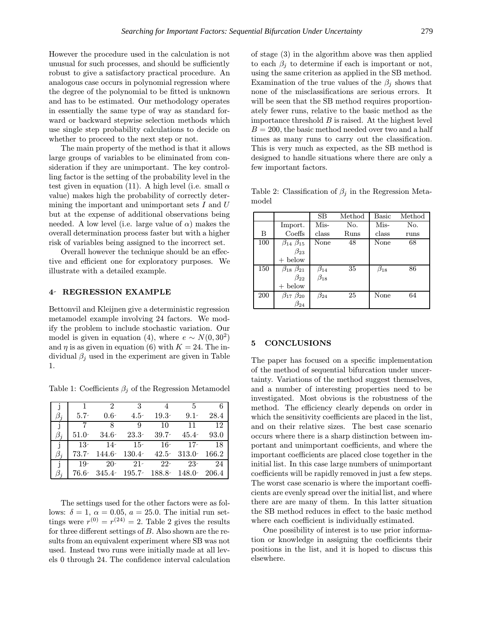However the procedure used in the calculation is not unusual for such processes, and should be sufficiently robust to give a satisfactory practical procedure. An analogous case occurs in polynomial regression where the degree of the polynomial to be fitted is unknown and has to be estimated. Our methodology operates in essentially the same type of way as standard forward or backward stepwise selection methods which use single step probability calculations to decide on whether to proceed to the next step or not.

The main property of the method is that it allows large groups of variables to be eliminated from consideration if they are unimportant. The key controlling factor is the setting of the probability level in the test given in equation (11). A high level (i.e. small  $\alpha$ value) makes high the probability of correctly determining the important and unimportant sets  $I$  and  $U$ but at the expense of additional observations being needed. A low level (i.e. large value of  $\alpha$ ) makes the overall determination process faster but with a higher risk of variables being assigned to the incorrect set.

Overall however the technique should be an effective and efficient one for exploratory purposes. We illustrate with a detailed example.

## 4 REGRESSION EXAMPLE

Bettonvil and Kleijnen give a deterministic regression metamodel example involving 24 factors. We modify the problem to include stochastic variation. Our model is given in equation (4), where  $e \sim N(0, 30^2)$ and  $\eta$  is as given in equation (6) with  $K = 24$ . The individual  $\beta_i$  used in the experiment are given in Table 1.

Table 1: Coefficients  $\beta_j$  of the Regression Metamodel

|                | 1        | $\mathcal{D}_{\mathcal{L}}$ | 3                                                                        | 4         | 5        |      |
|----------------|----------|-----------------------------|--------------------------------------------------------------------------|-----------|----------|------|
|                | $5.7-$   | $0.6 -$                     | $4.5 -$                                                                  | $19.3 -$  | $9.1 -$  | 28.4 |
| $\overline{1}$ |          | 8                           | 9                                                                        | 10        | 11       | 12   |
| $\beta_i$      | $51.0 -$ | $34.6^{\circ}$              | $23.3-$                                                                  | $39.7 -$  | $45.4 -$ | 93.0 |
| j.             | $^{-13}$ | $14-$                       |                                                                          | $15 - 16$ | $17-$    | - 18 |
|                |          |                             | $73.7\textdegree$ 144.6 $130.4\textdegree$ 42.5 $313.0\textdegree$ 166.2 |           |          |      |
| ÷              | $19-$    | $20-$                       | $21-$                                                                    | $22 -$    | $23-$    | 24   |
|                |          |                             | 76.6 345.4 195.7 188.8 148.0 206.4                                       |           |          |      |

The settings used for the other factors were as follows:  $\delta = 1, \ \alpha = 0.05, \ a = 25.0$ . The initial run settings were  $r^{(0)} = r^{(24)} = 2$ . Table 2 gives the results for three different settings of B. Also shown are the results from an equivalent experiment where SB was not used. Instead two runs were initially made at all levels 0 through 24. The confidence interval calculation of stage (3) in the algorithm above was then applied to each  $\beta_i$  to determine if each is important or not, using the same criterion as applied in the SB method. Examination of the true values of the  $\beta_i$  shows that none of the misclassifications are serious errors. It will be seen that the SB method requires proportionately fewer runs, relative to the basic method as the importance threshold  $B$  is raised. At the highest level  $B = 200$ , the basic method needed over two and a half times as many runs to carry out the classification. This is very much as expected, as the SB method is designed to handle situations where there are only a few important factors.

Table 2: Classification of  $\beta_i$  in the Regression Metamodel

|     |                           | SB           | Method | Basic        | Method |
|-----|---------------------------|--------------|--------|--------------|--------|
|     | Import.                   | Mis-         | No.    | Mis-         | No.    |
| в   | Coeffs                    | class        | Runs   | class        | runs   |
| 100 | $\beta_{14}$ $\beta_{15}$ | None         | 48     | None         | 68     |
|     | $\beta_{23}$              |              |        |              |        |
|     | $+$ below                 |              |        |              |        |
| 150 | $\beta_{18}$ $\beta_{21}$ | $\beta_{14}$ | 35     | $\beta_{18}$ | 86     |
|     | $\beta_{22}$              | $\beta_{18}$ |        |              |        |
|     | $+$ below                 |              |        |              |        |
| 200 | $\beta_{17}$ $\beta_{20}$ | $\beta_{24}$ | 25     | None         | 64     |
|     | $\beta_{24}$              |              |        |              |        |

#### 5 CONCLUSIONS

The paper has focused on a specific implementation of the method of sequential bifurcation under uncertainty. Variations of the method suggest themselves, and a number of interesting properties need to be investigated. Most obvious is the robustness of the method. The efficiency clearly depends on order in which the sensitivity coefficients are placed in the list, and on their relative sizes. The best case scenario occurs where there is a sharp distinction between important and unimportant coefficients, and where the important coefficients are placed close together in the initial list. In this case large numbers of unimportant coefficients will be rapidly removed in just a few steps. The worst case scenario is where the important coefficients are evenly spread over the initial list, and where there are are many of them. In this latter situation the SB method reduces in effect to the basic method where each coefficient is individually estimated.

One possibility of interest is to use prior information or knowledge in assigning the coefficients their positions in the list, and it is hoped to discuss this elsewhere.